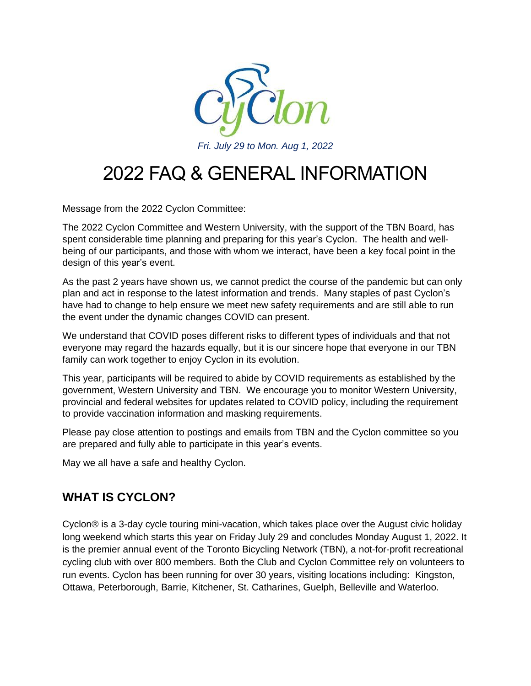

# 2022 FAQ & GENERAL INFORMATION

Message from the 2022 Cyclon Committee:

The 2022 Cyclon Committee and Western University, with the support of the TBN Board, has spent considerable time planning and preparing for this year's Cyclon. The health and wellbeing of our participants, and those with whom we interact, have been a key focal point in the design of this year's event.

As the past 2 years have shown us, we cannot predict the course of the pandemic but can only plan and act in response to the latest information and trends. Many staples of past Cyclon's have had to change to help ensure we meet new safety requirements and are still able to run the event under the dynamic changes COVID can present.

We understand that COVID poses different risks to different types of individuals and that not everyone may regard the hazards equally, but it is our sincere hope that everyone in our TBN family can work together to enjoy Cyclon in its evolution.

This year, participants will be required to abide by COVID requirements as established by the government, Western University and TBN. We encourage you to monitor Western University, provincial and federal websites for updates related to COVID policy, including the requirement to provide vaccination information and masking requirements.

Please pay close attention to postings and emails from TBN and the Cyclon committee so you are prepared and fully able to participate in this year's events.

May we all have a safe and healthy Cyclon.

# **WHAT IS CYCLON?**

Cyclon® is a 3-day cycle touring mini-vacation, which takes place over the August civic holiday long weekend which starts this year on Friday July 29 and concludes Monday August 1, 2022. It is the premier annual event of the Toronto Bicycling Network (TBN), a not-for-profit recreational cycling club with over 800 members. Both the Club and Cyclon Committee rely on volunteers to run events. Cyclon has been running for over 30 years, visiting locations including: Kingston, Ottawa, Peterborough, Barrie, Kitchener, St. Catharines, Guelph, Belleville and Waterloo.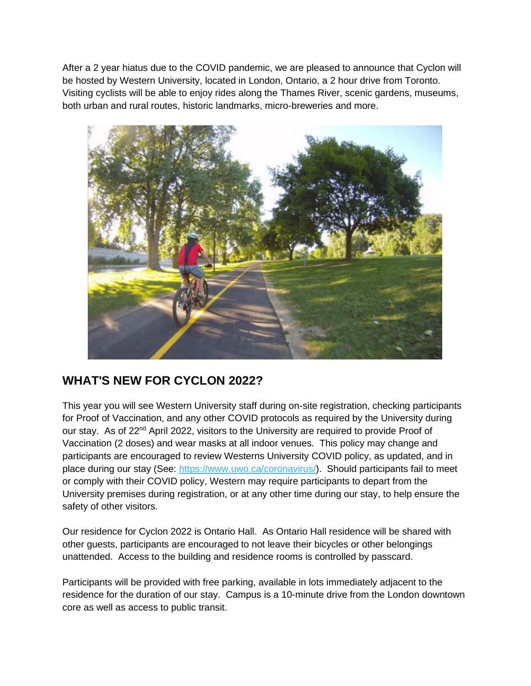After a 2 year hiatus due to the COVID pandemic, we are pleased to announce that Cyclon will be hosted by Western University, located in London, Ontario, a 2 hour drive from Toronto. Visiting cyclists will be able to enjoy rides along the Thames River, scenic gardens, museums, both urban and rural routes, historic landmarks, micro-breweries and more.



# **WHAT'S NEW FOR CYCLON 2022?**

This year you will see Western University staff during on-site registration, checking participants for Proof of Vaccination, and any other COVID protocols as required by the University during our stay. As of  $22<sup>nd</sup>$  April 2022, visitors to the University are required to provide Proof of Vaccination (2 doses) and wear masks at all indoor venues. This policy may change and participants are encouraged to review Westerns University COVID policy, as updated, and in place during our stay (See: [https://www.uwo.ca/coronavirus/\)](https://www.uwo.ca/coronavirus/). Should participants fail to meet or comply with their COVID policy, Western may require participants to depart from the University premises during registration, or at any other time during our stay, to help ensure the safety of other visitors.

Our residence for Cyclon 2022 is Ontario Hall. As Ontario Hall residence will be shared with other guests, participants are encouraged to not leave their bicycles or other belongings unattended. Access to the building and residence rooms is controlled by passcard.

Participants will be provided with free parking, available in lots immediately adjacent to the residence for the duration of our stay. Campus is a 10-minute drive from the London downtown core as well as access to public transit.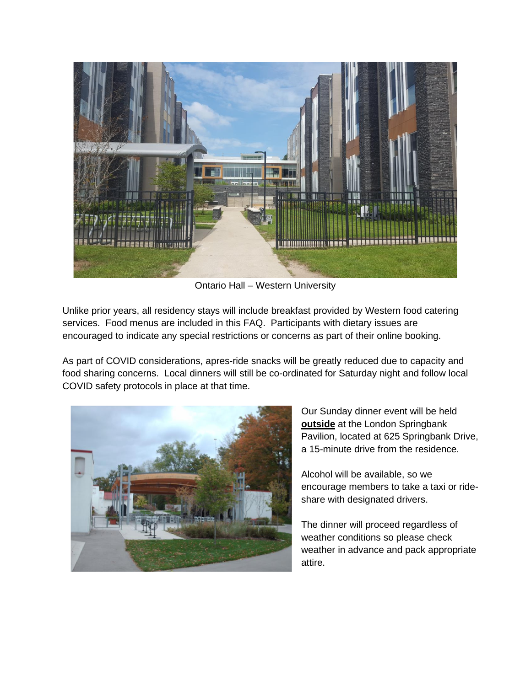

Ontario Hall – Western University

Unlike prior years, all residency stays will include breakfast provided by Western food catering services. Food menus are included in this FAQ. Participants with dietary issues are encouraged to indicate any special restrictions or concerns as part of their online booking.

As part of COVID considerations, apres-ride snacks will be greatly reduced due to capacity and food sharing concerns. Local dinners will still be co-ordinated for Saturday night and follow local COVID safety protocols in place at that time.



Our Sunday dinner event will be held **outside** at the London Springbank Pavilion, located at 625 Springbank Drive, a 15-minute drive from the residence.

Alcohol will be available, so we encourage members to take a taxi or rideshare with designated drivers.

The dinner will proceed regardless of weather conditions so please check weather in advance and pack appropriate attire.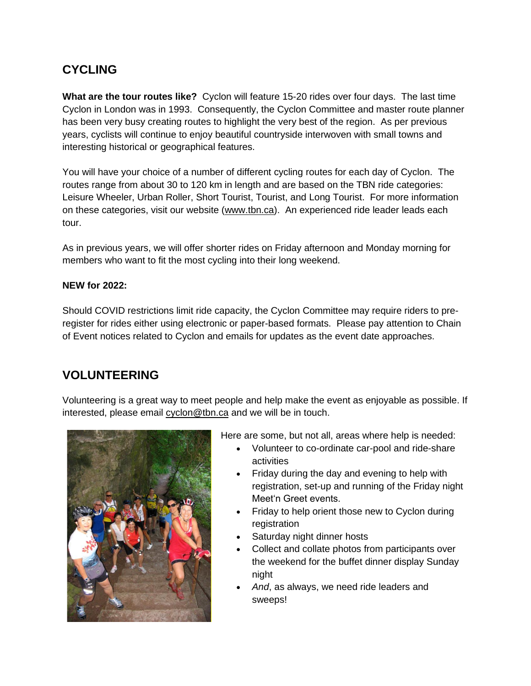# **CYCLING**

**What are the tour routes like?** Cyclon will feature 15-20 rides over four days. The last time Cyclon in London was in 1993. Consequently, the Cyclon Committee and master route planner has been very busy creating routes to highlight the very best of the region. As per previous years, cyclists will continue to enjoy beautiful countryside interwoven with small towns and interesting historical or geographical features.

You will have your choice of a number of different cycling routes for each day of Cyclon. The routes range from about 30 to 120 km in length and are based on the TBN ride categories: Leisure Wheeler, Urban Roller, Short Tourist, Tourist, and Long Tourist. For more information on these categories, visit our website [\(www.tbn.ca\)](https://tbn.ca/). An experienced ride leader leads each tour.

As in previous years, we will offer shorter rides on Friday afternoon and Monday morning for members who want to fit the most cycling into their long weekend.

#### **NEW for 2022:**

Should COVID restrictions limit ride capacity, the Cyclon Committee may require riders to preregister for rides either using electronic or paper-based formats. Please pay attention to Chain of Event notices related to Cyclon and emails for updates as the event date approaches.

### **VOLUNTEERING**

Volunteering is a great way to meet people and help make the event as enjoyable as possible. If interested, please email [cyclon@tbn.ca](mailto:cyclon@tbn.ca) and we will be in touch.



Here are some, but not all, areas where help is needed:

- Volunteer to co-ordinate car-pool and ride-share activities
- Friday during the day and evening to help with registration, set-up and running of the Friday night Meet'n Greet events.
- Friday to help orient those new to Cyclon during registration
- Saturday night dinner hosts
- Collect and collate photos from participants over the weekend for the buffet dinner display Sunday night
- *And*, as always, we need ride leaders and sweeps!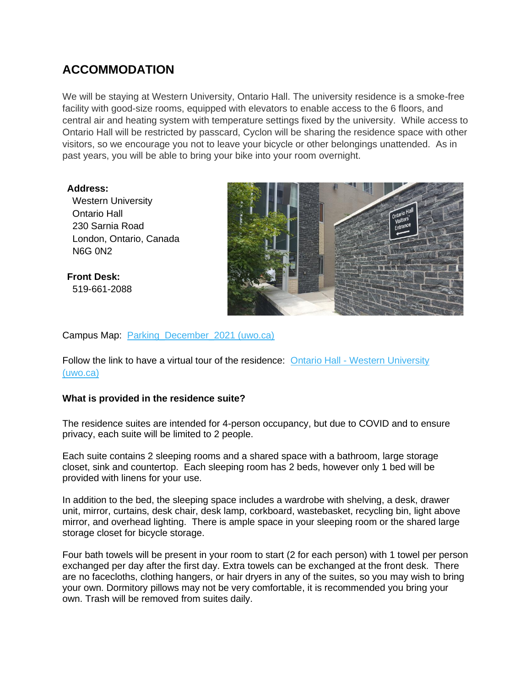# **ACCOMMODATION**

We will be staying at Western University, Ontario Hall. The university residence is a smoke-free facility with good-size rooms, equipped with elevators to enable access to the 6 floors, and central air and heating system with temperature settings fixed by the university. While access to Ontario Hall will be restricted by passcard, Cyclon will be sharing the residence space with other visitors, so we encourage you not to leave your bicycle or other belongings unattended. As in past years, you will be able to bring your bike into your room overnight.

**Address:**  Western University Ontario Hall 230 Sarnia Road London, Ontario, Canada N6G 0N2

**Front Desk:** 519-661-2088



Campus Map: [Parking\\_December\\_2021 \(uwo.ca\)](https://www.uwo.ca/parking/find/pdf/Parking_September_2021.pdf)

Follow the link to have a virtual tour of the residence: Ontario Hall - [Western University](https://residence.uwo.ca/buildings/firstyear_buildings/ontario_hall/index.html)  [\(uwo.ca\)](https://residence.uwo.ca/buildings/firstyear_buildings/ontario_hall/index.html)

#### **What is provided in the residence suite?**

The residence suites are intended for 4-person occupancy, but due to COVID and to ensure privacy, each suite will be limited to 2 people.

Each suite contains 2 sleeping rooms and a shared space with a bathroom, large storage closet, sink and countertop. Each sleeping room has 2 beds, however only 1 bed will be provided with linens for your use.

In addition to the bed, the sleeping space includes a wardrobe with shelving, a desk, drawer unit, mirror, curtains, desk chair, desk lamp, corkboard, wastebasket, recycling bin, light above mirror, and overhead lighting. There is ample space in your sleeping room or the shared large storage closet for bicycle storage.

Four bath towels will be present in your room to start (2 for each person) with 1 towel per person exchanged per day after the first day. Extra towels can be exchanged at the front desk. There are no facecloths, clothing hangers, or hair dryers in any of the suites, so you may wish to bring your own. Dormitory pillows may not be very comfortable, it is recommended you bring your own. Trash will be removed from suites daily.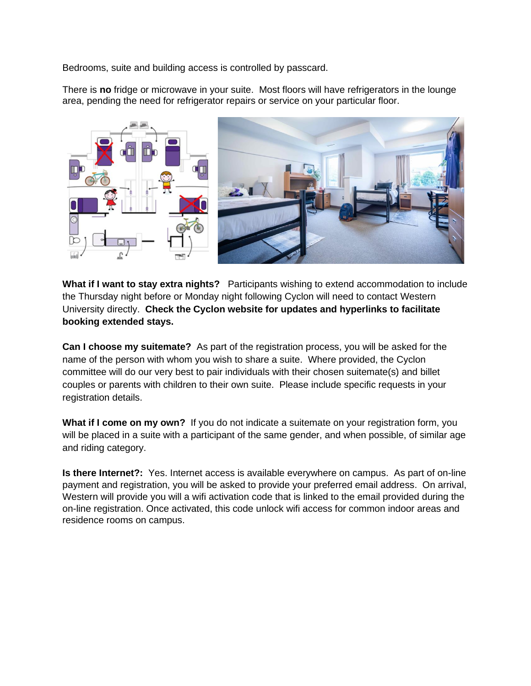Bedrooms, suite and building access is controlled by passcard.

There is **no** fridge or microwave in your suite. Most floors will have refrigerators in the lounge area, pending the need for refrigerator repairs or service on your particular floor.



**What if I want to stay extra nights?** Participants wishing to extend accommodation to include the Thursday night before or Monday night following Cyclon will need to contact Western University directly. **Check the Cyclon website for updates and hyperlinks to facilitate booking extended stays.** 

**Can I choose my suitemate?** As part of the registration process, you will be asked for the name of the person with whom you wish to share a suite. Where provided, the Cyclon committee will do our very best to pair individuals with their chosen suitemate(s) and billet couples or parents with children to their own suite. Please include specific requests in your registration details.

**What if I come on my own?** If you do not indicate a suitemate on your registration form, you will be placed in a suite with a participant of the same gender, and when possible, of similar age and riding category.

**Is there Internet?:** Yes. Internet access is available everywhere on campus. As part of on-line payment and registration, you will be asked to provide your preferred email address. On arrival, Western will provide you will a wifi activation code that is linked to the email provided during the on-line registration. Once activated, this code unlock wifi access for common indoor areas and residence rooms on campus.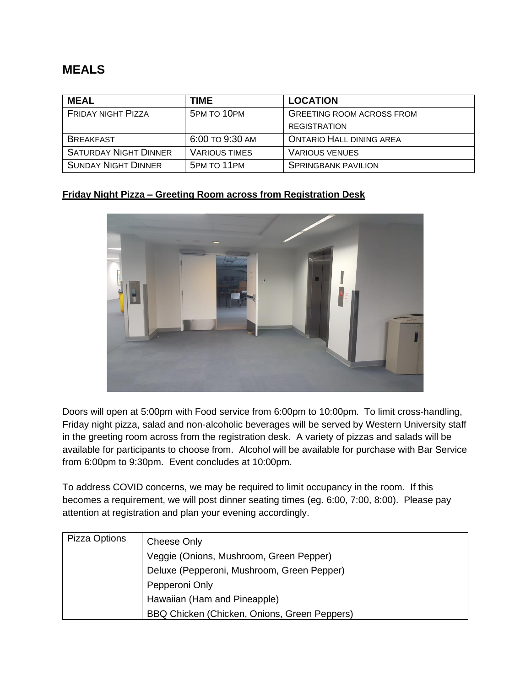### **MEALS**

| <b>MEAL</b>                  | TIME                 | <b>LOCATION</b>                  |
|------------------------------|----------------------|----------------------------------|
| <b>FRIDAY NIGHT PIZZA</b>    | 5PM TO 10PM          | <b>GREETING ROOM ACROSS FROM</b> |
|                              |                      | <b>REGISTRATION</b>              |
| <b>BREAKFAST</b>             | 6:00 TO 9:30 AM      | <b>ONTARIO HALL DINING AREA</b>  |
| <b>SATURDAY NIGHT DINNER</b> | <b>VARIOUS TIMES</b> | <b>VARIOUS VENUES</b>            |
| <b>SUNDAY NIGHT DINNER</b>   | 5PM TO 11PM          | <b>SPRINGBANK PAVILION</b>       |

#### **Friday Night Pizza – Greeting Room across from Registration Desk**



Doors will open at 5:00pm with Food service from 6:00pm to 10:00pm. To limit cross-handling, Friday night pizza, salad and non-alcoholic beverages will be served by Western University staff in the greeting room across from the registration desk. A variety of pizzas and salads will be available for participants to choose from. Alcohol will be available for purchase with Bar Service from 6:00pm to 9:30pm. Event concludes at 10:00pm.

To address COVID concerns, we may be required to limit occupancy in the room. If this becomes a requirement, we will post dinner seating times (eg. 6:00, 7:00, 8:00). Please pay attention at registration and plan your evening accordingly.

| Pizza Options | Cheese Only                                  |
|---------------|----------------------------------------------|
|               | Veggie (Onions, Mushroom, Green Pepper)      |
|               | Deluxe (Pepperoni, Mushroom, Green Pepper)   |
|               | Pepperoni Only                               |
|               | Hawaiian (Ham and Pineapple)                 |
|               | BBQ Chicken (Chicken, Onions, Green Peppers) |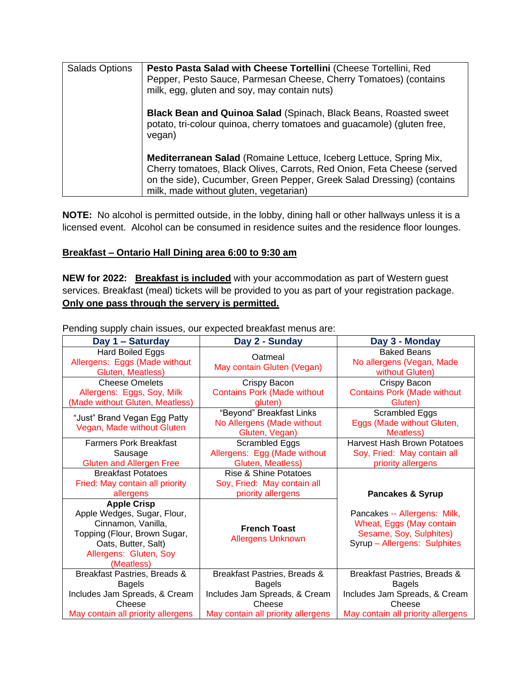| <b>Salads Options</b> | Pesto Pasta Salad with Cheese Tortellini (Cheese Tortellini, Red<br>Pepper, Pesto Sauce, Parmesan Cheese, Cherry Tomatoes) (contains<br>milk, egg, gluten and soy, may contain nuts)                                                                                   |
|-----------------------|------------------------------------------------------------------------------------------------------------------------------------------------------------------------------------------------------------------------------------------------------------------------|
|                       | <b>Black Bean and Quinoa Salad</b> (Spinach, Black Beans, Roasted sweet<br>potato, tri-colour quinoa, cherry tomatoes and guacamole) (gluten free,<br>vegan)                                                                                                           |
|                       | <b>Mediterranean Salad (Romaine Lettuce, Iceberg Lettuce, Spring Mix,</b><br>Cherry tomatoes, Black Olives, Carrots, Red Onion, Feta Cheese (served<br>on the side), Cucumber, Green Pepper, Greek Salad Dressing) (contains<br>milk, made without gluten, vegetarian) |

**NOTE:** No alcohol is permitted outside, in the lobby, dining hall or other hallways unless it is a licensed event. Alcohol can be consumed in residence suites and the residence floor lounges.

#### **Breakfast – Ontario Hall Dining area 6:00 to 9:30 am**

**NEW for 2022: Breakfast is included** with your accommodation as part of Western guest services. Breakfast (meal) tickets will be provided to you as part of your registration package. **Only one pass through the servery is permitted.**

| Day 1 - Saturday                                                                                                                                                       | Day 2 - Sunday                                                                        | Day 3 - Monday                                                                                                      |
|------------------------------------------------------------------------------------------------------------------------------------------------------------------------|---------------------------------------------------------------------------------------|---------------------------------------------------------------------------------------------------------------------|
| Hard Boiled Eggs<br>Allergens: Eggs (Made without<br>Gluten, Meatless)                                                                                                 | Oatmeal<br>May contain Gluten (Vegan)                                                 | <b>Baked Beans</b><br>No allergens (Vegan, Made<br>without Gluten)                                                  |
| <b>Cheese Omelets</b><br>Allergens: Eggs, Soy, Milk<br>(Made without Gluten, Meatless)                                                                                 | Crispy Bacon<br><b>Contains Pork (Made without</b><br>gluten)                         | Crispy Bacon<br><b>Contains Pork (Made without</b><br>Gluten)                                                       |
| "Just" Brand Vegan Egg Patty<br>Vegan, Made without Gluten                                                                                                             | "Beyond" Breakfast Links<br>No Allergens (Made without<br>Gluten, Vegan)              | Scrambled Eggs<br>Eggs (Made without Gluten,<br>Meatless)                                                           |
| <b>Farmers Pork Breakfast</b><br>Sausage<br><b>Gluten and Allergen Free</b>                                                                                            | Scrambled Eggs<br>Allergens: Egg (Made without<br>Gluten, Meatless)                   | <b>Harvest Hash Brown Potatoes</b><br>Soy, Fried: May contain all<br>priority allergens                             |
| <b>Breakfast Potatoes</b><br>Fried: May contain all priority<br>allergens                                                                                              | <b>Rise &amp; Shine Potatoes</b><br>Soy, Fried: May contain all<br>priority allergens | <b>Pancakes &amp; Syrup</b>                                                                                         |
| <b>Apple Crisp</b><br>Apple Wedges, Sugar, Flour,<br>Cinnamon, Vanilla,<br>Topping (Flour, Brown Sugar,<br>Oats, Butter, Salt)<br>Allergens: Gluten, Soy<br>(Meatless) | <b>French Toast</b><br><b>Allergens Unknown</b>                                       | Pancakes -- Allergens: Milk,<br>Wheat, Eggs (May contain<br>Sesame, Soy, Sulphites)<br>Syrup - Allergens: Sulphites |
| Breakfast Pastries, Breads &<br><b>Bagels</b>                                                                                                                          | Breakfast Pastries, Breads &<br><b>Bagels</b>                                         | Breakfast Pastries, Breads &<br><b>Bagels</b>                                                                       |
| Includes Jam Spreads, & Cream<br>Cheese<br>May contain all priority allergens                                                                                          | Includes Jam Spreads, & Cream<br>Cheese<br>May contain all priority allergens         | Includes Jam Spreads, & Cream<br>Cheese<br>May contain all priority allergens                                       |

Pending supply chain issues, our expected breakfast menus are: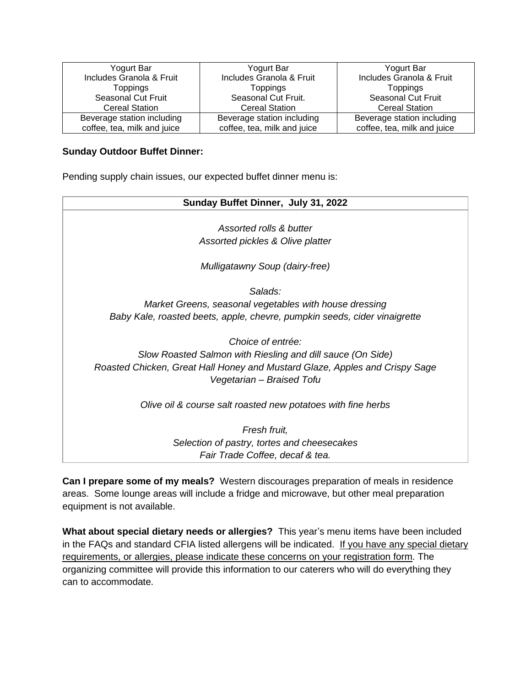| Yogurt Bar                  | Yogurt Bar                  | Yogurt Bar                  |
|-----------------------------|-----------------------------|-----------------------------|
| Includes Granola & Fruit    | Includes Granola & Fruit    | Includes Granola & Fruit    |
| <b>Toppings</b>             | <b>Toppings</b>             | <b>Toppings</b>             |
| Seasonal Cut Fruit          | Seasonal Cut Fruit.         | Seasonal Cut Fruit          |
| <b>Cereal Station</b>       | <b>Cereal Station</b>       | <b>Cereal Station</b>       |
| Beverage station including  | Beverage station including  | Beverage station including  |
| coffee, tea, milk and juice | coffee, tea, milk and juice | coffee, tea, milk and juice |

#### **Sunday Outdoor Buffet Dinner:**

Pending supply chain issues, our expected buffet dinner menu is:

| Sunday Buffet Dinner, July 31, 2022                                         |
|-----------------------------------------------------------------------------|
| Assorted rolls & butter                                                     |
| Assorted pickles & Olive platter                                            |
| Mulligatawny Soup (dairy-free)                                              |
| Salads:                                                                     |
| Market Greens, seasonal vegetables with house dressing                      |
| Baby Kale, roasted beets, apple, chevre, pumpkin seeds, cider vinaigrette   |
| Choice of entrée:                                                           |
| Slow Roasted Salmon with Riesling and dill sauce (On Side)                  |
| Roasted Chicken, Great Hall Honey and Mustard Glaze, Apples and Crispy Sage |
| Vegetarian - Braised Tofu                                                   |
| Olive oil & course salt roasted new potatoes with fine herbs                |
| Fresh fruit,                                                                |
| Selection of pastry, tortes and cheesecakes                                 |
| Fair Trade Coffee, decaf & tea.                                             |

**Can I prepare some of my meals?** Western discourages preparation of meals in residence areas. Some lounge areas will include a fridge and microwave, but other meal preparation equipment is not available.

**What about special dietary needs or allergies?** This year's menu items have been included in the FAQs and standard CFIA listed allergens will be indicated. If you have any special dietary requirements, or allergies, please indicate these concerns on your registration form. The organizing committee will provide this information to our caterers who will do everything they can to accommodate.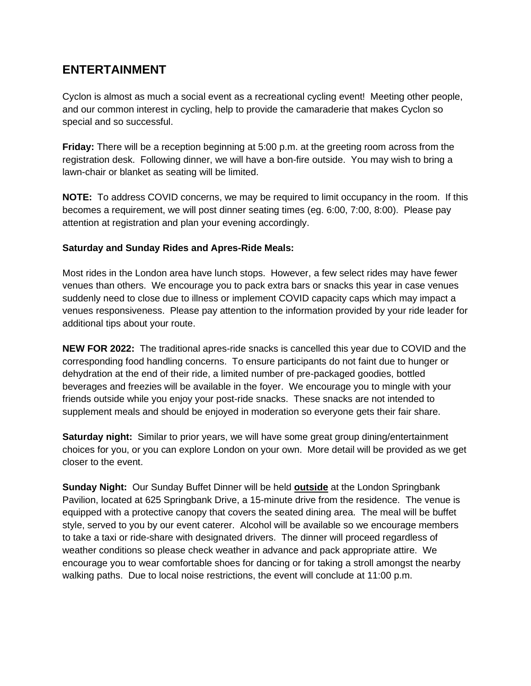### **ENTERTAINMENT**

Cyclon is almost as much a social event as a recreational cycling event! Meeting other people, and our common interest in cycling, help to provide the camaraderie that makes Cyclon so special and so successful.

**Friday:** There will be a reception beginning at 5:00 p.m. at the greeting room across from the registration desk. Following dinner, we will have a bon-fire outside. You may wish to bring a lawn-chair or blanket as seating will be limited.

**NOTE:** To address COVID concerns, we may be required to limit occupancy in the room. If this becomes a requirement, we will post dinner seating times (eg. 6:00, 7:00, 8:00). Please pay attention at registration and plan your evening accordingly.

#### **Saturday and Sunday Rides and Apres-Ride Meals:**

Most rides in the London area have lunch stops. However, a few select rides may have fewer venues than others. We encourage you to pack extra bars or snacks this year in case venues suddenly need to close due to illness or implement COVID capacity caps which may impact a venues responsiveness. Please pay attention to the information provided by your ride leader for additional tips about your route.

**NEW FOR 2022:** The traditional apres-ride snacks is cancelled this year due to COVID and the corresponding food handling concerns. To ensure participants do not faint due to hunger or dehydration at the end of their ride, a limited number of pre-packaged goodies, bottled beverages and freezies will be available in the foyer. We encourage you to mingle with your friends outside while you enjoy your post-ride snacks. These snacks are not intended to supplement meals and should be enjoyed in moderation so everyone gets their fair share.

**Saturday night:** Similar to prior years, we will have some great group dining/entertainment choices for you, or you can explore London on your own. More detail will be provided as we get closer to the event.

**Sunday Night:** Our Sunday Buffet Dinner will be held **outside** at the London Springbank Pavilion, located at 625 Springbank Drive, a 15-minute drive from the residence. The venue is equipped with a protective canopy that covers the seated dining area. The meal will be buffet style, served to you by our event caterer. Alcohol will be available so we encourage members to take a taxi or ride-share with designated drivers. The dinner will proceed regardless of weather conditions so please check weather in advance and pack appropriate attire. We encourage you to wear comfortable shoes for dancing or for taking a stroll amongst the nearby walking paths. Due to local noise restrictions, the event will conclude at 11:00 p.m.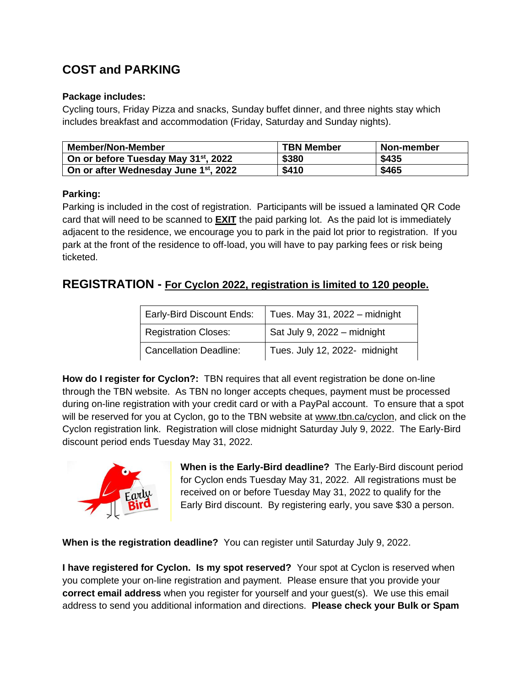# **COST and PARKING**

#### **Package includes:**

Cycling tours, Friday Pizza and snacks, Sunday buffet dinner, and three nights stay which includes breakfast and accommodation (Friday, Saturday and Sunday nights).

| <b>Member/Non-Member</b>                          | <b>TBN Member</b> | Non-member |
|---------------------------------------------------|-------------------|------------|
| On or before Tuesday May 31 <sup>st</sup> , 2022  | \$380             | \$435      |
| On or after Wednesday June 1 <sup>st</sup> , 2022 | \$410             | \$465      |

#### **Parking:**

Parking is included in the cost of registration. Participants will be issued a laminated QR Code card that will need to be scanned to **EXIT** the paid parking lot. As the paid lot is immediately adjacent to the residence, we encourage you to park in the paid lot prior to registration. If you park at the front of the residence to off-load, you will have to pay parking fees or risk being ticketed.

### **REGISTRATION - For Cyclon 2022, registration is limited to 120 people.**

| Early-Bird Discount Ends:     | Tues. May 31, 2022 - midnight |
|-------------------------------|-------------------------------|
| <b>Registration Closes:</b>   | Sat July 9, 2022 - midnight   |
| <b>Cancellation Deadline:</b> | Tues. July 12, 2022- midnight |

**How do I register for Cyclon?:** TBN requires that all event registration be done on-line through the TBN website. As TBN no longer accepts cheques, payment must be processed during on-line registration with your credit card or with a PayPal account. To ensure that a spot will be reserved for you at Cyclon, go to the TBN website at [www.tbn.ca/cyclon,](https://tbn.ca/cyclon) and click on the Cyclon registration link. Registration will close midnight Saturday July 9, 2022. The Early-Bird discount period ends Tuesday May 31, 2022.



**When is the Early-Bird deadline?** The Early-Bird discount period for Cyclon ends Tuesday May 31, 2022. All registrations must be received on or before Tuesday May 31, 2022 to qualify for the Early Bird discount. By registering early, you save \$30 a person.

**When is the registration deadline?** You can register until Saturday July 9, 2022.

**I have registered for Cyclon. Is my spot reserved?** Your spot at Cyclon is reserved when you complete your on-line registration and payment. Please ensure that you provide your **correct email address** when you register for yourself and your guest(s). We use this email address to send you additional information and directions. **Please check your Bulk or Spam**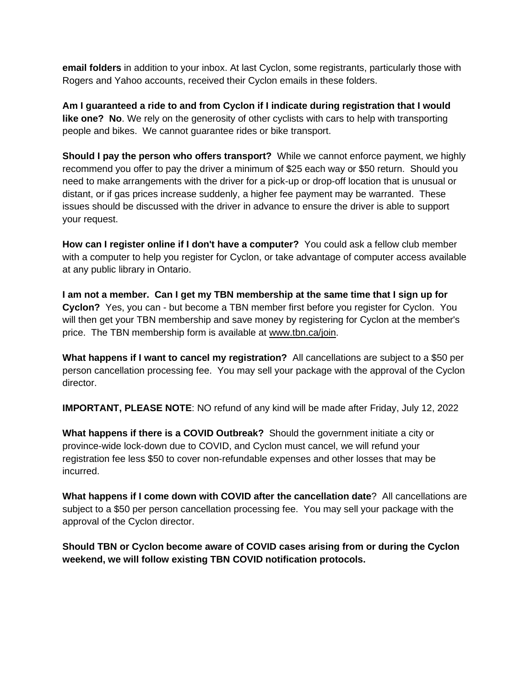**email folders** in addition to your inbox. At last Cyclon, some registrants, particularly those with Rogers and Yahoo accounts, received their Cyclon emails in these folders.

**Am I guaranteed a ride to and from Cyclon if I indicate during registration that I would like one? No**. We rely on the generosity of other cyclists with cars to help with transporting people and bikes. We cannot guarantee rides or bike transport.

**Should I pay the person who offers transport?** While we cannot enforce payment, we highly recommend you offer to pay the driver a minimum of \$25 each way or \$50 return. Should you need to make arrangements with the driver for a pick-up or drop-off location that is unusual or distant, or if gas prices increase suddenly, a higher fee payment may be warranted. These issues should be discussed with the driver in advance to ensure the driver is able to support your request.

**How can I register online if I don't have a computer?** You could ask a fellow club member with a computer to help you register for Cyclon, or take advantage of computer access available at any public library in Ontario.

**I am not a member. Can I get my TBN membership at the same time that I sign up for Cyclon?** Yes, you can - but become a TBN member first before you register for Cyclon. You will then get your TBN membership and save money by registering for Cyclon at the member's price. The TBN membership form is available at [www.tbn.ca/join.](https://tbn.ca/join)

**What happens if I want to cancel my registration?** All cancellations are subject to a \$50 per person cancellation processing fee. You may sell your package with the approval of the Cyclon director.

**IMPORTANT, PLEASE NOTE**: NO refund of any kind will be made after Friday, July 12, 2022

**What happens if there is a COVID Outbreak?** Should the government initiate a city or province-wide lock-down due to COVID, and Cyclon must cancel, we will refund your registration fee less \$50 to cover non-refundable expenses and other losses that may be incurred.

**What happens if I come down with COVID after the cancellation date**? All cancellations are subject to a \$50 per person cancellation processing fee. You may sell your package with the approval of the Cyclon director.

**Should TBN or Cyclon become aware of COVID cases arising from or during the Cyclon weekend, we will follow existing TBN COVID notification protocols.**